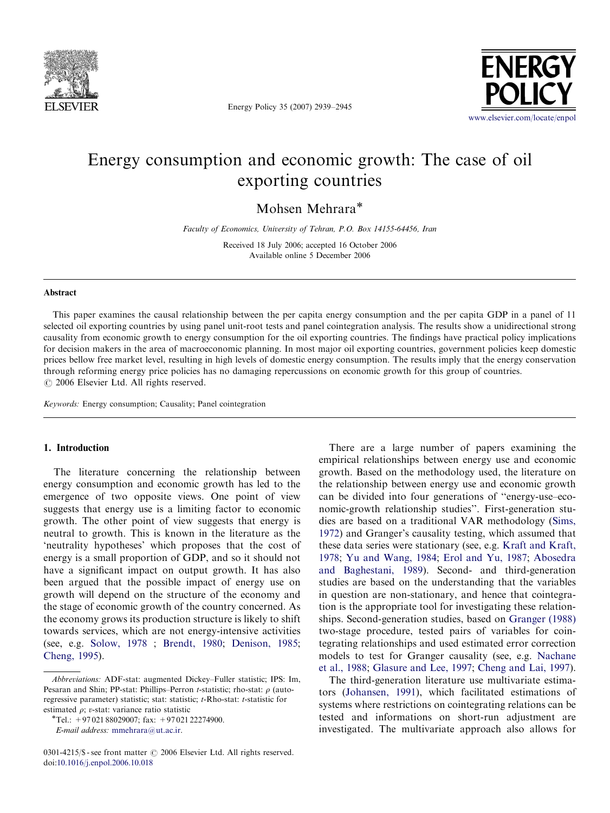

Energy Policy 35 (2007) 2939–2945



## Energy consumption and economic growth: The case of oil exporting countries

Mohsen Mehrara\*

Faculty of Economics, University of Tehran, P.O. Box 14155-64456, Iran

Received 18 July 2006; accepted 16 October 2006 Available online 5 December 2006

#### Abstract

This paper examines the causal relationship between the per capita energy consumption and the per capita GDP in a panel of 11 selected oil exporting countries by using panel unit-root tests and panel cointegration analysis. The results show a unidirectional strong causality from economic growth to energy consumption for the oil exporting countries. The findings have practical policy implications for decision makers in the area of macroeconomic planning. In most major oil exporting countries, government policies keep domestic prices bellow free market level, resulting in high levels of domestic energy consumption. The results imply that the energy conservation through reforming energy price policies has no damaging repercussions on economic growth for this group of countries.  $C$  2006 Elsevier Ltd. All rights reserved.

Keywords: Energy consumption; Causality; Panel cointegration

## 1. Introduction

The literature concerning the relationship between energy consumption and economic growth has led to the emergence of two opposite views. One point of view suggests that energy use is a limiting factor to economic growth. The other point of view suggests that energy is neutral to growth. This is known in the literature as the 'neutrality hypotheses' which proposes that the cost of energy is a small proportion of GDP, and so it should not have a significant impact on output growth. It has also been argued that the possible impact of energy use on growth will depend on the structure of the economy and the stage of economic growth of the country concerned. As the economy grows its production structure is likely to shift towards services, which are not energy-intensive activities (see, e.g. [Solow, 1978](#page--1-0) ; [Brendt, 1980](#page--1-0); [Denison, 1985;](#page--1-0) [Cheng, 1995](#page--1-0)).

There are a large number of papers examining the empirical relationships between energy use and economic growth. Based on the methodology used, the literature on the relationship between energy use and economic growth can be divided into four generations of ''energy-use–economic-growth relationship studies''. First-generation studies are based on a traditional VAR methodology ([Sims,](#page--1-0) [1972](#page--1-0)) and Granger's causality testing, which assumed that these data series were stationary (see, e.g. [Kraft and Kraft,](#page--1-0) [1978](#page--1-0); [Yu and Wang, 1984;](#page--1-0) [Erol and Yu, 1987;](#page--1-0) [Abosedra](#page--1-0) [and Baghestani, 1989](#page--1-0)). Second- and third-generation studies are based on the understanding that the variables in question are non-stationary, and hence that cointegration is the appropriate tool for investigating these relationships. Second-generation studies, based on [Granger \(1988\)](#page--1-0) two-stage procedure, tested pairs of variables for cointegrating relationships and used estimated error correction models to test for Granger causality (see, e.g. [Nachane](#page--1-0) [et al., 1988](#page--1-0); [Glasure and Lee, 1997;](#page--1-0) [Cheng and Lai, 1997\)](#page--1-0).

The third-generation literature use multivariate estimators ([Johansen, 1991](#page--1-0)), which facilitated estimations of systems where restrictions on cointegrating relations can be tested and informations on short-run adjustment are investigated. The multivariate approach also allows for

Abbreviations: ADF-stat: augmented Dickey–Fuller statistic; IPS: Im, Pesaran and Shin; PP-stat: Phillips–Perron t-statistic; rho-stat:  $\rho$  (autoregressive parameter) statistic; stat: statistic; t-Rho-stat: t-statistic for estimated  $\rho$ ; v-stat: variance ratio statistic

<sup>\*</sup>Tel.:  $+9702188029007$ ; fax:  $+9702122274900$ . E-mail address: [mmehrara@ut.ac.ir.](mailto:mmehrara@ut.ac.ir)

<sup>0301-4215/\$ -</sup> see front matter  $\odot$  2006 Elsevier Ltd. All rights reserved. doi:[10.1016/j.enpol.2006.10.018](dx.doi.org/10.1016/j.enpol.2006.10.018)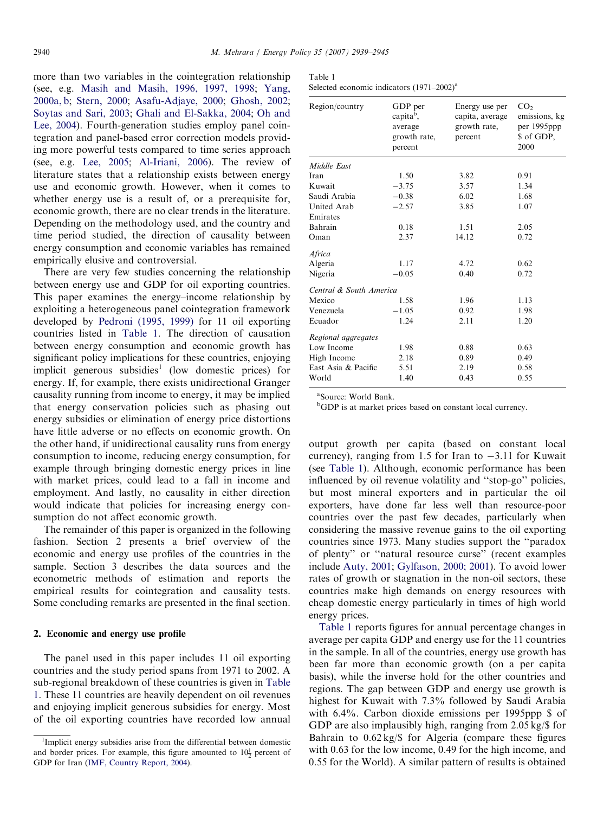more than two variables in the cointegration relationship (see, e.g. [Masih and Masih, 1996, 1997, 1998;](#page--1-0) [Yang,](#page--1-0) [2000a, b;](#page--1-0) [Stern, 2000;](#page--1-0) [Asafu-Adjaye, 2000;](#page--1-0) [Ghosh, 2002](#page--1-0); [Soytas and Sari, 2003;](#page--1-0) [Ghali and El-Sakka, 2004](#page--1-0); [Oh and](#page--1-0) [Lee, 2004\)](#page--1-0). Fourth-generation studies employ panel cointegration and panel-based error correction models providing more powerful tests compared to time series approach (see, e.g. [Lee, 2005;](#page--1-0) [Al-Iriani, 2006](#page--1-0)). The review of literature states that a relationship exists between energy use and economic growth. However, when it comes to whether energy use is a result of, or a prerequisite for, economic growth, there are no clear trends in the literature. Depending on the methodology used, and the country and time period studied, the direction of causality between energy consumption and economic variables has remained empirically elusive and controversial.

There are very few studies concerning the relationship between energy use and GDP for oil exporting countries. This paper examines the energy–income relationship by exploiting a heterogeneous panel cointegration framework developed by [Pedroni \(1995, 1999\)](#page--1-0) for 11 oil exporting countries listed in Table 1. The direction of causation between energy consumption and economic growth has significant policy implications for these countries, enjoying implicit generous subsidies<sup>1</sup> (low domestic prices) for energy. If, for example, there exists unidirectional Granger causality running from income to energy, it may be implied that energy conservation policies such as phasing out energy subsidies or elimination of energy price distortions have little adverse or no effects on economic growth. On the other hand, if unidirectional causality runs from energy consumption to income, reducing energy consumption, for example through bringing domestic energy prices in line with market prices, could lead to a fall in income and employment. And lastly, no causality in either direction would indicate that policies for increasing energy consumption do not affect economic growth.

The remainder of this paper is organized in the following fashion. Section 2 presents a brief overview of the economic and energy use profiles of the countries in the sample. Section 3 describes the data sources and the econometric methods of estimation and reports the empirical results for cointegration and causality tests. Some concluding remarks are presented in the final section.

### 2. Economic and energy use profile

The panel used in this paper includes 11 oil exporting countries and the study period spans from 1971 to 2002. A sub-regional breakdown of these countries is given in Table 1. These 11 countries are heavily dependent on oil revenues and enjoying implicit generous subsidies for energy. Most of the oil exporting countries have recorded low annual

| Table |  |
|-------|--|
|-------|--|

|  | Selected economic indicators $(1971-2002)^{a}$ |
|--|------------------------------------------------|
|  |                                                |

| Region/country          | GDP per<br>capita <sup>b</sup> ,<br>average<br>growth rate,<br>percent | Energy use per<br>capita, average<br>growth rate,<br>percent | CO <sub>2</sub><br>emissions, kg<br>per 1995ppp<br>\$ of GDP,<br>2000 |
|-------------------------|------------------------------------------------------------------------|--------------------------------------------------------------|-----------------------------------------------------------------------|
| Middle East             |                                                                        |                                                              |                                                                       |
| Iran                    | 1.50                                                                   | 3.82                                                         | 0.91                                                                  |
| Kuwait                  | $-3.75$                                                                | 3.57                                                         | 1.34                                                                  |
| Saudi Arabia            | $-0.38$                                                                | 6.02                                                         | 1.68                                                                  |
| United Arab             | $-2.57$                                                                | 3.85                                                         | 1.07                                                                  |
| Emirates                |                                                                        |                                                              |                                                                       |
| Bahrain                 | 0.18                                                                   | 1.51                                                         | 2.05                                                                  |
| Oman                    | 2.37                                                                   | 14.12                                                        | 0.72                                                                  |
| Africa                  |                                                                        |                                                              |                                                                       |
| Algeria                 | 1.17                                                                   | 4.72                                                         | 0.62                                                                  |
| Nigeria                 | $-0.05$                                                                | 0.40                                                         | 0.72                                                                  |
| Central & South America |                                                                        |                                                              |                                                                       |
| Mexico                  | 1.58                                                                   | 1.96                                                         | 1.13                                                                  |
| Venezuela               | $-1.05$                                                                | 0.92                                                         | 1.98                                                                  |
| Ecuador                 | 1.24                                                                   | 2.11                                                         | 1.20                                                                  |
| Regional aggregates     |                                                                        |                                                              |                                                                       |
| Low Income              | 1.98                                                                   | 0.88                                                         | 0.63                                                                  |
| High Income             | 2.18                                                                   | 0.89                                                         | 0.49                                                                  |
| East Asia & Pacific     | 5.51                                                                   | 2.19                                                         | 0.58                                                                  |
| World                   | 1.40                                                                   | 0.43                                                         | 0.55                                                                  |
|                         |                                                                        |                                                              |                                                                       |

a Source: World Bank.

<sup>b</sup>GDP is at market prices based on constant local currency.

output growth per capita (based on constant local currency), ranging from 1.5 for Iran to  $-3.11$  for Kuwait (see Table 1). Although, economic performance has been influenced by oil revenue volatility and ''stop-go'' policies, but most mineral exporters and in particular the oil exporters, have done far less well than resource-poor countries over the past few decades, particularly when considering the massive revenue gains to the oil exporting countries since 1973. Many studies support the ''paradox of plenty'' or ''natural resource curse'' (recent examples include [Auty, 2001](#page--1-0); [Gylfason, 2000; 2001](#page--1-0)). To avoid lower rates of growth or stagnation in the non-oil sectors, these countries make high demands on energy resources with cheap domestic energy particularly in times of high world energy prices.

Table 1 reports figures for annual percentage changes in average per capita GDP and energy use for the 11 countries in the sample. In all of the countries, energy use growth has been far more than economic growth (on a per capita basis), while the inverse hold for the other countries and regions. The gap between GDP and energy use growth is highest for Kuwait with 7.3% followed by Saudi Arabia with 6.4%. Carbon dioxide emissions per 1995ppp \$ of GDP are also implausibly high, ranging from 2.05 kg/\$ for Bahrain to 0.62 kg/\$ for Algeria (compare these figures with 0.63 for the low income, 0.49 for the high income, and 0.55 for the World). A similar pattern of results is obtained

<sup>&</sup>lt;sup>1</sup>Implicit energy subsidies arise from the differential between domestic and border prices. For example, this figure amounted to  $10\frac{1}{2}$  percent of GDP for Iran ([IMF, Country Report, 2004\)](#page--1-0).